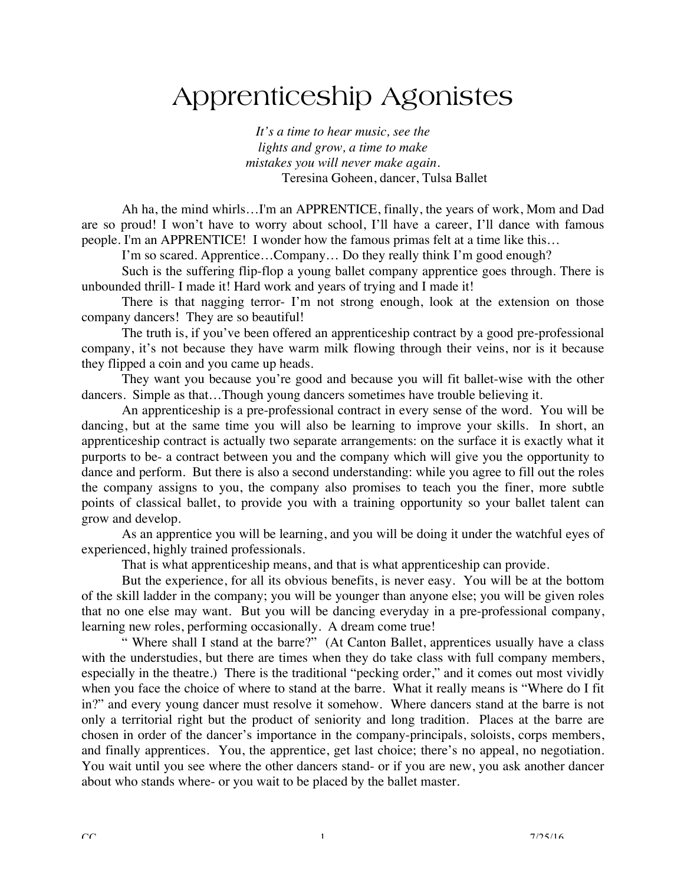## Apprenticeship Agonistes

*It's a time to hear music, see the lights and grow, a time to make mistakes you will never make again*. Teresina Goheen, dancer, Tulsa Ballet

Ah ha, the mind whirls…I'm an APPRENTICE, finally, the years of work, Mom and Dad are so proud! I won't have to worry about school, I'll have a career, I'll dance with famous people. I'm an APPRENTICE! I wonder how the famous primas felt at a time like this…

I'm so scared. Apprentice…Company… Do they really think I'm good enough?

Such is the suffering flip-flop a young ballet company apprentice goes through. There is unbounded thrill- I made it! Hard work and years of trying and I made it!

There is that nagging terror- I'm not strong enough, look at the extension on those company dancers! They are so beautiful!

The truth is, if you've been offered an apprenticeship contract by a good pre-professional company, it's not because they have warm milk flowing through their veins, nor is it because they flipped a coin and you came up heads.

They want you because you're good and because you will fit ballet-wise with the other dancers. Simple as that…Though young dancers sometimes have trouble believing it.

An apprenticeship is a pre-professional contract in every sense of the word. You will be dancing, but at the same time you will also be learning to improve your skills. In short, an apprenticeship contract is actually two separate arrangements: on the surface it is exactly what it purports to be- a contract between you and the company which will give you the opportunity to dance and perform. But there is also a second understanding: while you agree to fill out the roles the company assigns to you, the company also promises to teach you the finer, more subtle points of classical ballet, to provide you with a training opportunity so your ballet talent can grow and develop.

As an apprentice you will be learning, and you will be doing it under the watchful eyes of experienced, highly trained professionals.

That is what apprenticeship means, and that is what apprenticeship can provide.

But the experience, for all its obvious benefits, is never easy. You will be at the bottom of the skill ladder in the company; you will be younger than anyone else; you will be given roles that no one else may want. But you will be dancing everyday in a pre-professional company, learning new roles, performing occasionally. A dream come true!

" Where shall I stand at the barre?" (At Canton Ballet, apprentices usually have a class with the understudies, but there are times when they do take class with full company members, especially in the theatre.) There is the traditional "pecking order," and it comes out most vividly when you face the choice of where to stand at the barre. What it really means is "Where do I fit in?" and every young dancer must resolve it somehow. Where dancers stand at the barre is not only a territorial right but the product of seniority and long tradition. Places at the barre are chosen in order of the dancer's importance in the company-principals, soloists, corps members, and finally apprentices. You, the apprentice, get last choice; there's no appeal, no negotiation. You wait until you see where the other dancers stand- or if you are new, you ask another dancer about who stands where- or you wait to be placed by the ballet master.